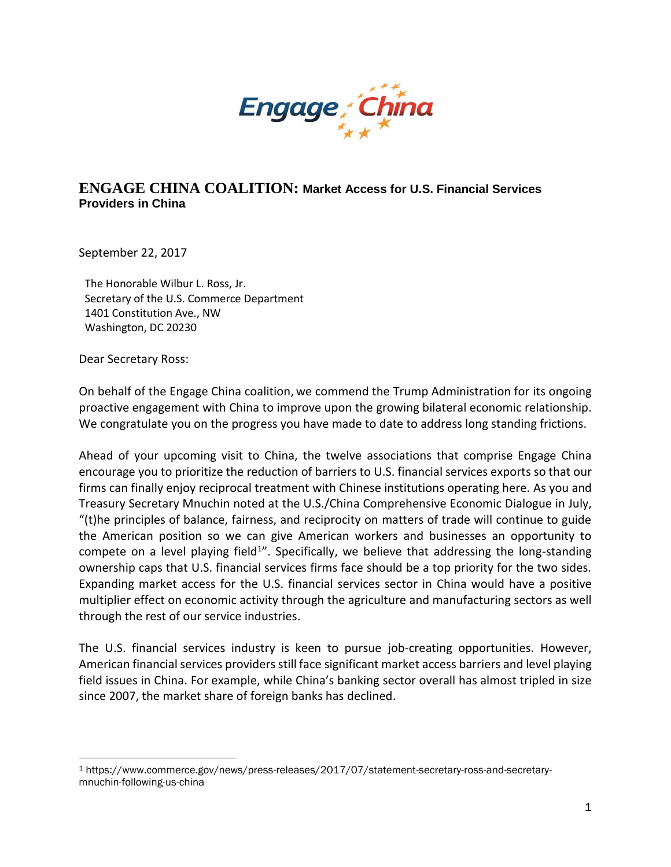

## **ENGAGE CHINA COALITION: Market Access for U.S. Financial Services Providers in China**

September 22, 2017

The Honorable Wilbur L. Ross, Jr. Secretary of the U.S. Commerce Department 1401 Constitution Ave., NW Washington, DC 20230

Dear Secretary Ross:

 $\overline{\phantom{a}}$ 

On behalf of the Engage China coalition, we commend the Trump Administration for its ongoing proactive engagement with China to improve upon the growing bilateral economic relationship. We congratulate you on the progress you have made to date to address long standing frictions.

Ahead of your upcoming visit to China, the twelve associations that comprise Engage China encourage you to prioritize the reduction of barriers to U.S. financial services exports so that our firms can finally enjoy reciprocal treatment with Chinese institutions operating here. As you and Treasury Secretary Mnuchin noted at the U.S./China Comprehensive Economic Dialogue in July, "(t)he principles of balance, fairness, and reciprocity on matters of trade will continue to guide the American position so we can give American workers and businesses an opportunity to compete on a level playing field<sup>1</sup>". Specifically, we believe that addressing the long-standing ownership caps that U.S. financial services firms face should be a top priority for the two sides. Expanding market access for the U.S. financial services sector in China would have a positive multiplier effect on economic activity through the agriculture and manufacturing sectors as well through the rest of our service industries.

The U.S. financial services industry is keen to pursue job-creating opportunities. However, American financial services providers still face significant market access barriers and level playing field issues in China. For example, while China's banking sector overall has almost tripled in size since 2007, the market share of foreign banks has declined.

<sup>1</sup> https://www.commerce.gov/news/press-releases/2017/07/statement-secretary-ross-and-secretarymnuchin-following-us-china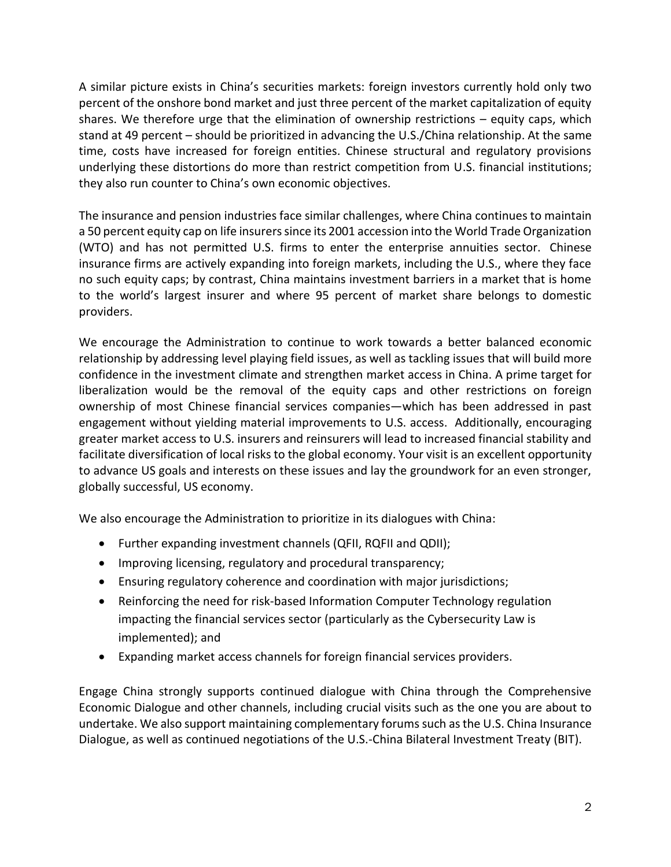A similar picture exists in China's securities markets: foreign investors currently hold only two percent of the onshore bond market and just three percent of the market capitalization of equity shares. We therefore urge that the elimination of ownership restrictions – equity caps, which stand at 49 percent – should be prioritized in advancing the U.S./China relationship. At the same time, costs have increased for foreign entities. Chinese structural and regulatory provisions underlying these distortions do more than restrict competition from U.S. financial institutions; they also run counter to China's own economic objectives.

The insurance and pension industries face similar challenges, where China continues to maintain a 50 percent equity cap on life insurers since its 2001 accession into the World Trade Organization (WTO) and has not permitted U.S. firms to enter the enterprise annuities sector. Chinese insurance firms are actively expanding into foreign markets, including the U.S., where they face no such equity caps; by contrast, China maintains investment barriers in a market that is home to the world's largest insurer and where 95 percent of market share belongs to domestic providers.

We encourage the Administration to continue to work towards a better balanced economic relationship by addressing level playing field issues, as well as tackling issues that will build more confidence in the investment climate and strengthen market access in China. A prime target for liberalization would be the removal of the equity caps and other restrictions on foreign ownership of most Chinese financial services companies—which has been addressed in past engagement without yielding material improvements to U.S. access. Additionally, encouraging greater market access to U.S. insurers and reinsurers will lead to increased financial stability and facilitate diversification of local risks to the global economy. Your visit is an excellent opportunity to advance US goals and interests on these issues and lay the groundwork for an even stronger, globally successful, US economy.

We also encourage the Administration to prioritize in its dialogues with China:

- Further expanding investment channels (QFII, RQFII and QDII);
- Improving licensing, regulatory and procedural transparency;
- Ensuring regulatory coherence and coordination with major jurisdictions;
- Reinforcing the need for risk-based Information Computer Technology regulation impacting the financial services sector (particularly as the Cybersecurity Law is implemented); and
- Expanding market access channels for foreign financial services providers.

Engage China strongly supports continued dialogue with China through the Comprehensive Economic Dialogue and other channels, including crucial visits such as the one you are about to undertake. We also support maintaining complementary forums such as the U.S. China Insurance Dialogue, as well as continued negotiations of the U.S.-China Bilateral Investment Treaty (BIT).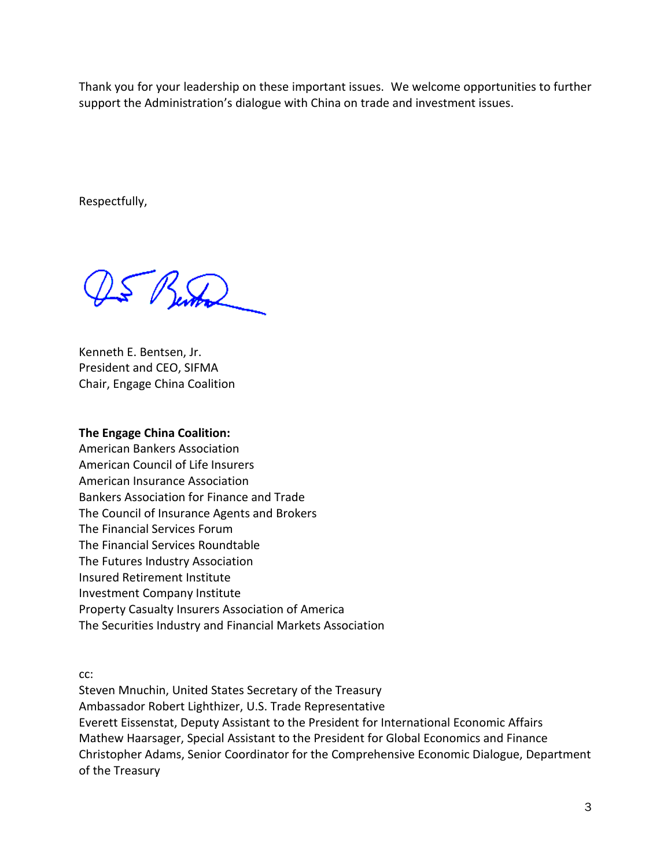Thank you for your leadership on these important issues. We welcome opportunities to further support the Administration's dialogue with China on trade and investment issues.

Respectfully,

 $\frac{1}{2}$  Vental

Kenneth E. Bentsen, Jr. President and CEO, SIFMA Chair, Engage China Coalition

## **The Engage China Coalition:**

American Bankers Association American Council of Life Insurers American Insurance Association Bankers Association for Finance and Trade The Council of Insurance Agents and Brokers The Financial Services Forum The Financial Services Roundtable The Futures Industry Association Insured Retirement Institute Investment Company Institute Property Casualty Insurers Association of America The Securities Industry and Financial Markets Association

cc:

Steven Mnuchin, United States Secretary of the Treasury Ambassador Robert Lighthizer, U.S. Trade Representative Everett Eissenstat, Deputy Assistant to the President for International Economic Affairs Mathew Haarsager, Special Assistant to the President for Global Economics and Finance Christopher Adams, Senior Coordinator for the Comprehensive Economic Dialogue, Department of the Treasury